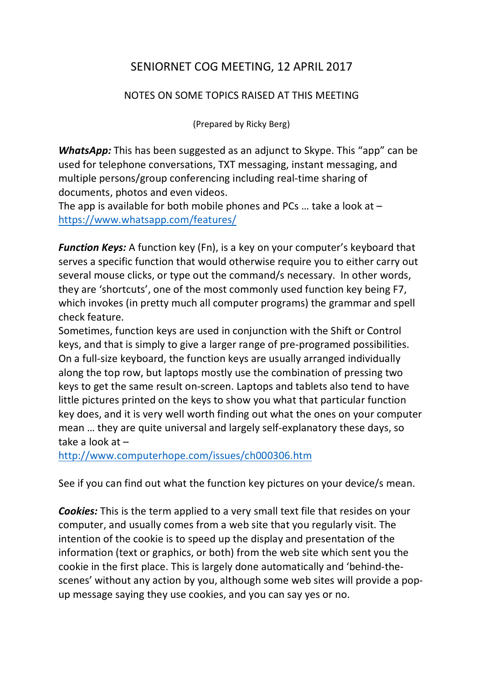## SENIORNET COG MEETING, 12 APRIL 2017

## NOTES ON SOME TOPICS RAISED AT THIS MEETING

(Prepared by Ricky Berg)

**WhatsApp:** This has been suggested as an adjunct to Skype. This "app" can be used for telephone conversations, TXT messaging, instant messaging, and multiple persons/group conferencing including real-time sharing of documents, photos and even videos.

The app is available for both mobile phones and PCs ... take a look at  $$ <https://www.whatsapp.com/features/>

*Function Keys:* A function key (Fn), is a key on your computer's keyboard that serves a specific function that would otherwise require you to either carry out several mouse clicks, or type out the command/s necessary. In other words, they are 'shortcuts', one of the most commonly used function key being F7, which invokes (in pretty much all computer programs) the grammar and spell check feature.

Sometimes, function keys are used in conjunction with the Shift or Control keys, and that is simply to give a larger range of pre-programed possibilities. On a full-size keyboard, the function keys are usually arranged individually along the top row, but laptops mostly use the combination of pressing two keys to get the same result on-screen. Laptops and tablets also tend to have little pictures printed on the keys to show you what that particular function key does, and it is very well worth finding out what the ones on your computer mean … they are quite universal and largely self-explanatory these days, so take a look at –

<http://www.computerhope.com/issues/ch000306.htm>

See if you can find out what the function key pictures on your device/s mean.

*Cookies:* This is the term applied to a very small text file that resides on your computer, and usually comes from a web site that you regularly visit. The intention of the cookie is to speed up the display and presentation of the information (text or graphics, or both) from the web site which sent you the cookie in the first place. This is largely done automatically and 'behind-thescenes' without any action by you, although some web sites will provide a popup message saying they use cookies, and you can say yes or no.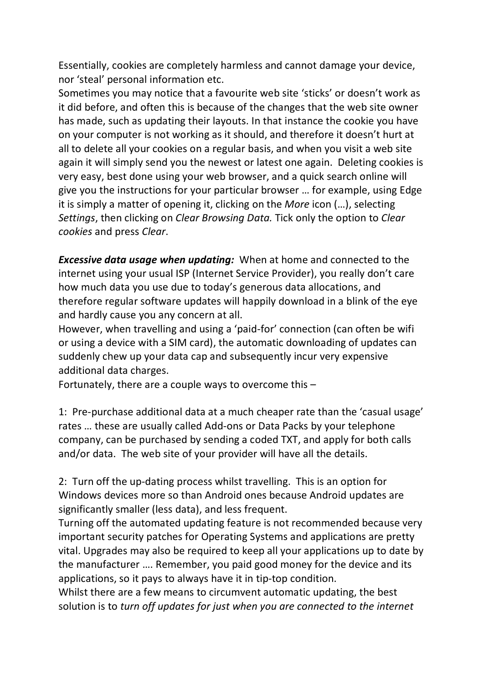Essentially, cookies are completely harmless and cannot damage your device, nor 'steal' personal information etc.

Sometimes you may notice that a favourite web site 'sticks' or doesn't work as it did before, and often this is because of the changes that the web site owner has made, such as updating their layouts. In that instance the cookie you have on your computer is not working as it should, and therefore it doesn't hurt at all to delete all your cookies on a regular basis, and when you visit a web site again it will simply send you the newest or latest one again. Deleting cookies is very easy, best done using your web browser, and a quick search online will give you the instructions for your particular browser … for example, using Edge it is simply a matter of opening it, clicking on the *More* icon (…), selecting *Settings*, then clicking on *Clear Browsing Data.* Tick only the option to *Clear cookies* and press *Clear*.

*Excessive data usage when updating:* When at home and connected to the internet using your usual ISP (Internet Service Provider), you really don't care how much data you use due to today's generous data allocations, and therefore regular software updates will happily download in a blink of the eye and hardly cause you any concern at all.

However, when travelling and using a 'paid-for' connection (can often be wifi or using a device with a SIM card), the automatic downloading of updates can suddenly chew up your data cap and subsequently incur very expensive additional data charges.

Fortunately, there are a couple ways to overcome this –

1: Pre-purchase additional data at a much cheaper rate than the 'casual usage' rates … these are usually called Add-ons or Data Packs by your telephone company, can be purchased by sending a coded TXT, and apply for both calls and/or data. The web site of your provider will have all the details.

2: Turn off the up-dating process whilst travelling. This is an option for Windows devices more so than Android ones because Android updates are significantly smaller (less data), and less frequent.

Turning off the automated updating feature is not recommended because very important security patches for Operating Systems and applications are pretty vital. Upgrades may also be required to keep all your applications up to date by the manufacturer …. Remember, you paid good money for the device and its applications, so it pays to always have it in tip-top condition.

Whilst there are a few means to circumvent automatic updating, the best solution is to *turn off updates for just when you are connected to the internet*